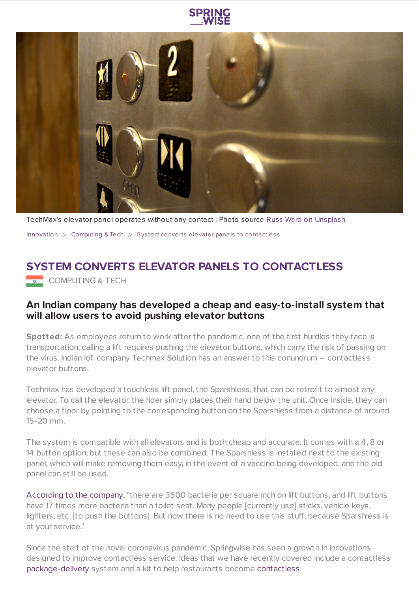



TechMax's elevator panel operates without any contact | Photo source Russ Ward on [Unsplash](https://unsplash.com/)

[Innovation](https://www.springwise.com/search?type=innovation)  $>$  [Computing](https://www.springwise.com/search?type=innovation§or=computing) & Tech  $>$  System converts elevator panels to contactless

## **SYSTEM CONVERTS ELEVATOR PANELS TO CONTACTLESS**

**COMPUTING & TECH** 

## **An Indian company has developed a cheap and easy-to-install system that will allow users to avoid pushing elevator buttons**

**Spotted:** As employees return to work after the pandemic, one of the first hurdles they face is transportation; calling a lift requires pushing the elevator buttons, which carry the risk of passing on the virus. Indian IoT company Techmax Solution has an answer to this conundrum – contactless elevator buttons.

Techmax has developed a touchless lift panel, the Sparshless, that can be retrofit to almost any elevator. To call the elevator, the rider simply places their hand below the unit. Once inside, they can choose a floor by pointing to the corresponding button on the Sparshless from a distance of around 15-20 mm.

The system is compatible with all elevators and is both cheap and accurate. It comes with a 4, 8 or 14 button option, but these can also be combined. The Sparshless is installed next to the existing panel, which will make removing them easy, in the event of a vaccine being developed, and the old panel can still be used.

[According](https://medium.com/@bhavin.techmax/sparshless-the-touchless-elevator-lift-panel-deec9baf6168) to the company, "there are 3500 bacteria per square inch on lift buttons, and lift buttons have 17 times more bacteria than a toilet seat. Many people [currently use] sticks, vehicle keys, lighters, etc. [to push the buttons]. But now there is no need to use this stuff, because Sparshless is at your service."

Since the start of the novel coronavirus pandemic, Springwise has seen a growth in innovations designed to improve contactless service. Ideas that we have recently covered include a contactless [package-delivery](https://www.springwise.com/innovation/computing-tech/rpi-powered-smart-delivery-boxes-coronavirus) system and a kit to help restaurants become [contactless](https://www.springwise.com/innovation/food-drink/coronavirus-contactless-dining-kit-presto).